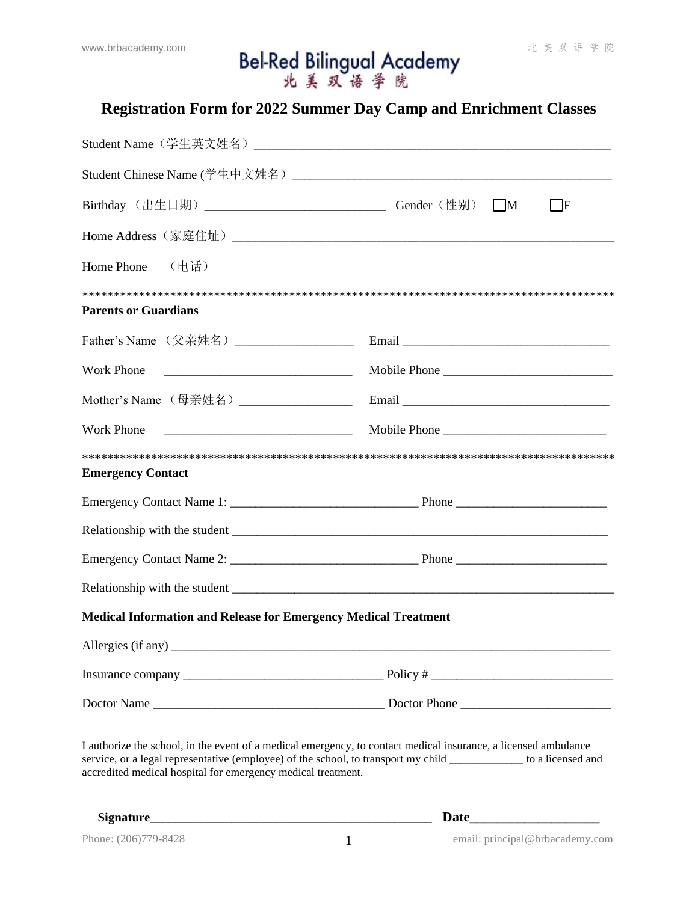# www.brbacademy.com **Bel-Red Bilingual Academy** #美双语学院

## **Registration Form for 2022 Summer Day Camp and Enrichment Classes**

| Birthday (出生日期) __________________________________Gender (性别) ___M                                                                                                                                                                                                                                    | $\mathbf F$  |  |  |
|-------------------------------------------------------------------------------------------------------------------------------------------------------------------------------------------------------------------------------------------------------------------------------------------------------|--------------|--|--|
|                                                                                                                                                                                                                                                                                                       |              |  |  |
| Home Phone (电话) <b>Lateral Contract Contract Contract Contract Contract Contract Contract Contract Contract Contract Contract Contract Contract Contract Contract Contract Contract Contract Contract Contract Contract Contrac</b>                                                                   |              |  |  |
| <b>Parents or Guardians</b>                                                                                                                                                                                                                                                                           |              |  |  |
| Father's Name (父亲姓名)____________________                                                                                                                                                                                                                                                              |              |  |  |
| Work Phone                                                                                                                                                                                                                                                                                            | Mobile Phone |  |  |
| Mother's Name (母亲姓名)__________________                                                                                                                                                                                                                                                                | Email        |  |  |
| <b>Work Phone</b>                                                                                                                                                                                                                                                                                     | Mobile Phone |  |  |
| <b>Emergency Contact</b>                                                                                                                                                                                                                                                                              |              |  |  |
|                                                                                                                                                                                                                                                                                                       |              |  |  |
|                                                                                                                                                                                                                                                                                                       |              |  |  |
|                                                                                                                                                                                                                                                                                                       |              |  |  |
|                                                                                                                                                                                                                                                                                                       |              |  |  |
| <b>Medical Information and Release for Emergency Medical Treatment</b>                                                                                                                                                                                                                                |              |  |  |
|                                                                                                                                                                                                                                                                                                       |              |  |  |
|                                                                                                                                                                                                                                                                                                       |              |  |  |
|                                                                                                                                                                                                                                                                                                       |              |  |  |
| I authorize the school, in the event of a medical emergency, to contact medical insurance, a licensed ambulance<br>service, or a legal representative (employee) of the school, to transport my child _____________ to a licensed and<br>accredited medical hospital for emergency medical treatment. |              |  |  |

**Signature\_\_\_\_\_\_\_\_\_\_\_\_\_\_\_\_\_\_\_\_\_\_\_\_\_\_\_\_\_\_\_\_\_\_\_\_\_\_\_\_\_\_\_\_\_ Date\_\_\_\_\_\_\_\_\_\_\_\_\_\_\_\_\_\_\_**